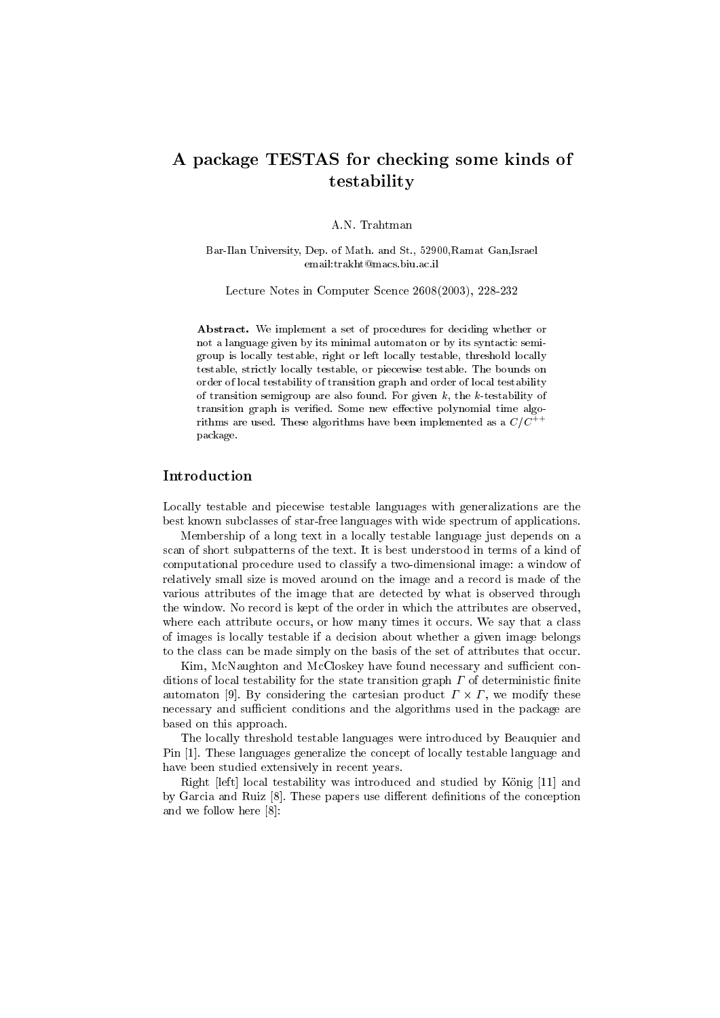# A package TESTAS for checking some kinds of testability

#### A.N. Trahtman

Bar-Ilan University, Dep. of Math. and St., 52900,Ramat Gan,Israel email:trakht@macs.biu.ac.il

Lecture Notes in Computer Scence 2608(2003), 228-232

Abstract. We implement a set of procedures for deciding whether or not a language given by its minimal automaton or by its syntactic semigroup is locally testable, right or left locally testable, threshold locally testable, strictly locally testable, or piecewise testable. The bounds on order of local testability of transition graph and order of local testability of transition semigroup are also found. For given  $k$ , the  $k$ -testability of transition graph is verified. Some new effective polynomial time algorithms are used. These algorithms have been implemented as a  $C/C^{++}$ package.

# Introduction

Locally testable and piecewise testable languages with generalizations are the best known subclasses of star-free languages with wide spectrum of applications.

Membership of a long text in a locally testable language just depends on a scan of short subpatterns of the text. It is best understood in terms of a kind of computational procedure used to classify a two-dimensional image: a window of relatively small size is moved around on the image and a record is made of the various attributes of the image that are detected by what is observed through the window. No record is kept of the order in which the attributes are observed, where each attribute occurs, or how many times it occurs. We say that a class of images is locally testable if a decision about whether a given image belongs to the class can be made simply on the basis of the set of attributes that occur.

Kim, McNaughton and McCloskey have found necessary and sufficient conditions of local testability for the state transition graph  $\Gamma$  of deterministic finite automaton [9]. By considering the cartesian product  $\Gamma \times \Gamma$ , we modify these necessary and sufficient conditions and the algorithms used in the package are based on this approach.

The locally threshold testable languages were introduced by Beauquier and Pin [1]. These languages generalize the concept of locally testable language and have been studied extensively in recent years.

Right [left] local testability was introduced and studied by König [11] and by Garcia and Ruiz  $[8]$ . These papers use different definitions of the conception and we follow here [8]: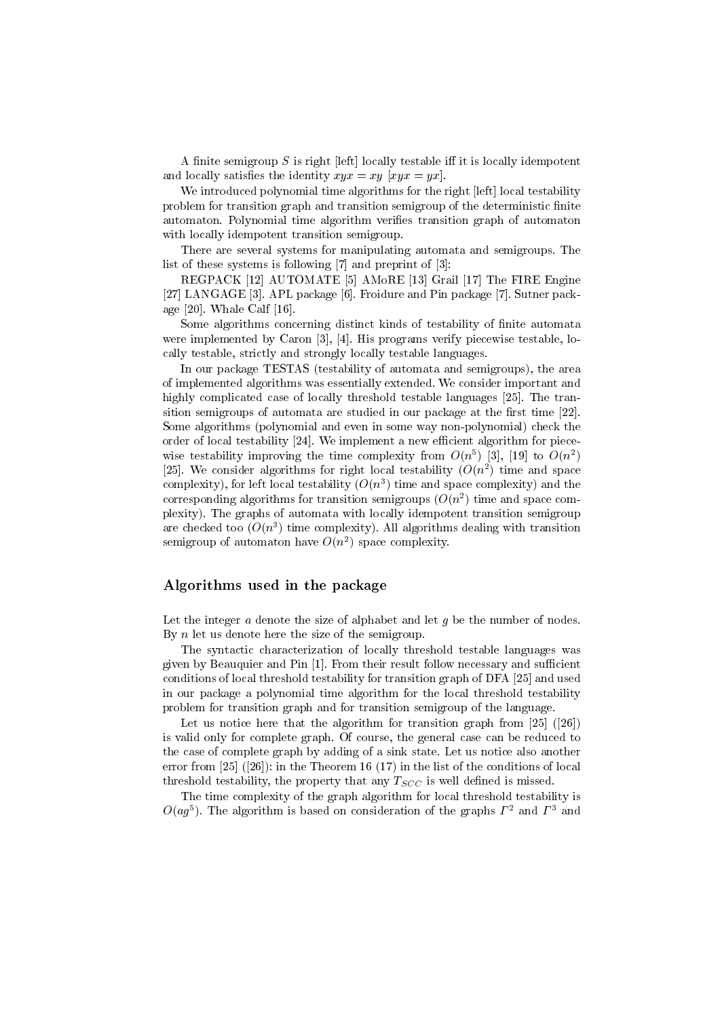A finite semigroup  $S$  is right [left] locally testable iff it is locally idempotent and locally satisfies the identity  $xyx = xy$  [ $xyx = yx$ ].

We introduced polynomial time algorithms for the right [left] local testability problem for transition graph and transition semigroup of the deterministic finite automaton. Polynomial time algorithm veries transition graph of automaton with locally idempotent transition semigroup.

There are several systems for manipulating automata and semigroups. The list of these systems is following [7] and preprint of [3]:

REGPACK [12] AUTOMATE [5] AMoRE [13] Grail [17] The FIRE Engine [27] LANGAGE [3]. APL package [6]. Froidure and Pin package [7]. Sutner package [20]. Whale Calf [16].

Some algorithms concerning distinct kinds of testability of finite automata were implemented by Caron [3], [4]. His programs verify piecewise testable, locally testable, strictly and strongly locally testable languages.

In our package TESTAS (testability of automata and semigroups), the area of implemented algorithms was essentially extended. We consider important and highly complicated case of locally threshold testable languages [25]. The transition semigroups of automata are studied in our package at the first time  $[22]$ . Some algorithms (polynomial and even in some way non-polynomial) check the order of local testability [24]. We implement a new efficient algorithm for piecewise testability improving the time complexity from  $O(n^5)$  [3], [19] to  $O(n^2)$ [25]. We consider algorithms for right local testability  $(O(n^2)$  time and space complexity), for left local testability  $(O(n^3)$  time and space complexity) and the corresponding algorithms for transition semigroups  $(O(n^2)$  time and space complexity). The graphs of automata with locally idempotent transition semigroup are checked too  $(O(n^3)$  time complexity). All algorithms dealing with transition semigroup of automaton have  $O(n^2)$  space complexity.

#### Algorithms used in the package

Let the integer  $a$  denote the size of alphabet and let  $g$  be the number of nodes. By  $n$  let us denote here the size of the semigroup.

The syntactic characterization of locally threshold testable languages was given by Beauquier and Pin  $[1]$ . From their result follow necessary and sufficient conditions of local threshold testability for transition graph of DFA [25] and used in our package a polynomial time algorithm for the local threshold testability problem for transition graph and for transition semigroup of the language.

Let us notice here that the algorithm for transition graph from [25] ([26]) is valid only for complete graph. Of course, the general case can be reduced to the case of complete graph by adding of a sink state. Let us notice also another error from [25] ([26]): in the Theorem 16 (17) in the list of the conditions of local threshold testability, the property that any  $T_{SCC}$  is well defined is missed.

The time complexity of the graph algorithm for local threshold testability is  $O(ag^5)$ . The algorithm is based on consideration of the graphs  $\Gamma^2$  and  $\Gamma^3$  and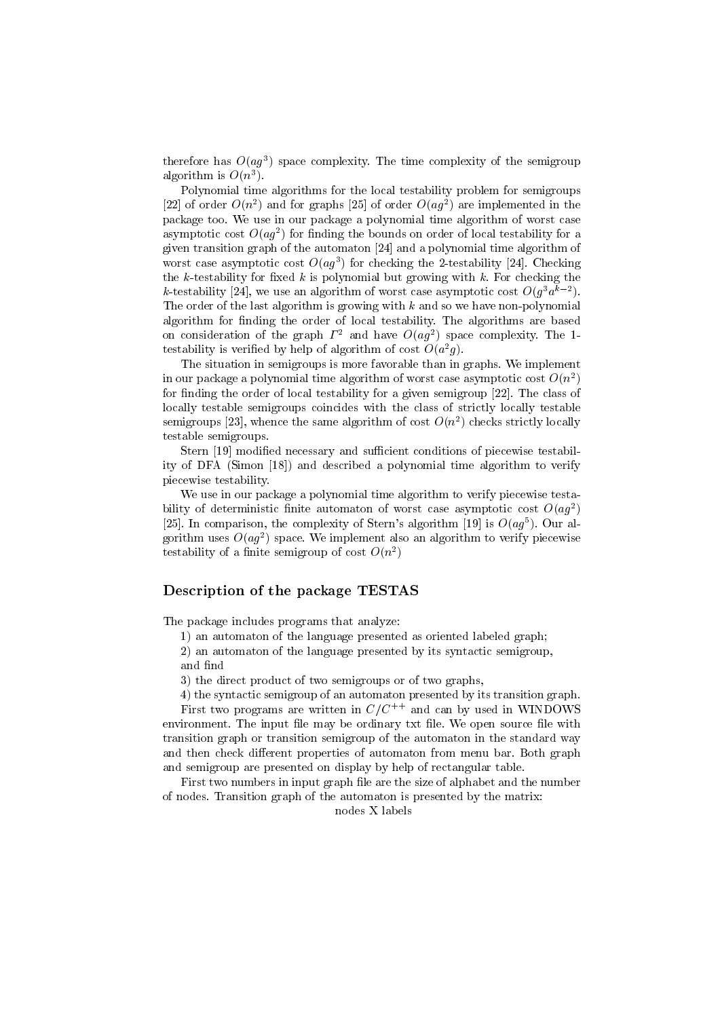therefore has  $O(ag^3)$  space complexity. The time complexity of the semigroup algorithm is  $O(n^3)$ .

Polynomial time algorithms for the local testability problem for semigroups [22] of order  $O(n^2)$  and for graphs [25] of order  $O(ag^2)$  are implemented in the package too. We use in our package a polynomial time algorithm of worst case asymptotic cost  $O(ag^2)$  for finding the bounds on order of local testability for a given transition graph of the automaton [24] and a polynomial time algorithm of worst case asymptotic cost  $O(ag^3)$  for checking the 2-testability [24]. Checking the  $k$ -testability for fixed  $k$  is polynomial but growing with  $k$ . For checking the k-testability [24], we use an algorithm of worst case asymptotic cost  $O(g^3 a^{k-2})$ . The order of the last algorithm is growing with  $k$  and so we have non-polynomial algorithm for finding the order of local testability. The algorithms are based on consideration of the graph  $\Gamma^2$  and have  $O(ag^2)$  space complexity. The 1testability is verified by help of algorithm of cost  $O(a^2g)$ .

The situation in semigroups is more favorable than in graphs. We implement in our package a polynomial time algorithm of worst case asymptotic cost  $O(n^2)$ for finding the order of local testability for a given semigroup  $[22]$ . The class of locally testable semigroups coincides with the class of strictly locally testable semigroups [23], whence the same algorithm of cost  $O(n^2)$  checks strictly locally testable semigroups.

Stern [19] modified necessary and sufficient conditions of piecewise testability of DFA (Simon [18]) and described a polynomial time algorithm to verify piecewise testability.

We use in our package a polynomial time algorithm to verify piecewise testability of deterministic finite automaton of worst case asymptotic cost  $O(ag^2)$ [25]. In comparison, the complexity of Stern's algorithm [19] is  $O(ag^5)$ . Our algorithm uses  $O(ag^2)$  space. We implement also an algorithm to verify piecewise testability of a finite semigroup of cost  $O(n^2)$ 

# Description of the package TESTAS

The package includes programs that analyze:

1) an automaton of the language presented as oriented labeled graph;

2) an automaton of the language presented by its syntactic semigroup, and find

3) the direct product of two semigroups or of two graphs,

4) the syntactic semigroup of an automaton presented by its transition graph. First two programs are written in  $C/C^{++}$  and can by used in WINDOWS environment. The input file may be ordinary txt file. We open source file with transition graph or transition semigroup of the automaton in the standard way and then check different properties of automaton from menu bar. Both graph and semigroup are presented on display by help of rectangular table.

First two numbers in input graph file are the size of alphabet and the number of nodes. Transition graph of the automaton is presented by the matrix:

nodes X labels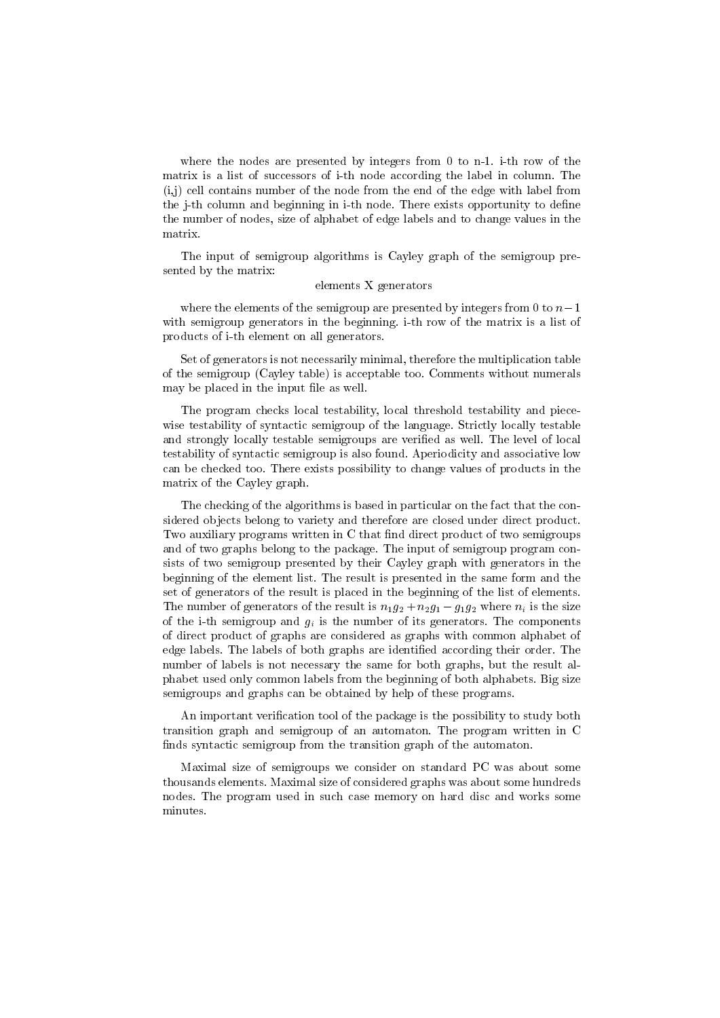where the nodes are presented by integers from 0 to n-1. i-th row of the matrix is a list of successors of i-th node according the label in column. The (i,j) cell contains number of the node from the end of the edge with label from the j-th column and beginning in i-th node. There exists opportunity to define the number of nodes, size of alphabet of edge labels and to change values in the matrix.

The input of semigroup algorithms is Cayley graph of the semigroup presented by the matrix:

# elements X generators

where the elements of the semigroup are presented by integers from 0 to  $n-1$ with semigroup generators in the beginning. i-th row of the matrix is a list of products of i-th element on all generators.

Set of generators is not necessarily minimal, therefore the multiplication table of the semigroup (Cayley table) is acceptable too. Comments without numerals may be placed in the input file as well.

The program checks local testability, local threshold testability and piecewise testability of syntactic semigroup of the language. Strictly locally testable and strongly locally testable semigroups are veried as well. The level of local testability of syntactic semigroup is also found. Aperiodicity and associative low can be checked too. There exists possibility to change values of products in the matrix of the Cayley graph.

The checking of the algorithms is based in particular on the fact that the considered objects belong to variety and therefore are closed under direct product. Two auxiliary programs written in C that find direct product of two semigroups and of two graphs belong to the package. The input of semigroup program consists of two semigroup presented by their Cayley graph with generators in the beginning of the element list. The result is presented in the same form and the set of generators of the result is placed in the beginning of the list of elements. The number of generators of the result is  $n_1g_2 + n_2g_1 - g_1g_2$  where  $n_i$  is the size of the i-th semigroup and  $g_i$  is the number of its generators. The components of direct product of graphs are considered as graphs with common alphabet of edge labels. The labels of both graphs are identied according their order. The number of labels is not necessary the same for both graphs, but the result alphabet used only common labels from the beginning of both alphabets. Big size semigroups and graphs can be obtained by help of these programs.

An important verication tool of the package is the possibility to study both transition graph and semigroup of an automaton. The program written in C finds syntactic semigroup from the transition graph of the automaton.

Maximal size of semigroups we consider on standard PC was about some thousands elements. Maximal size of considered graphs was about some hundreds nodes. The program used in such case memory on hard disc and works some minutes.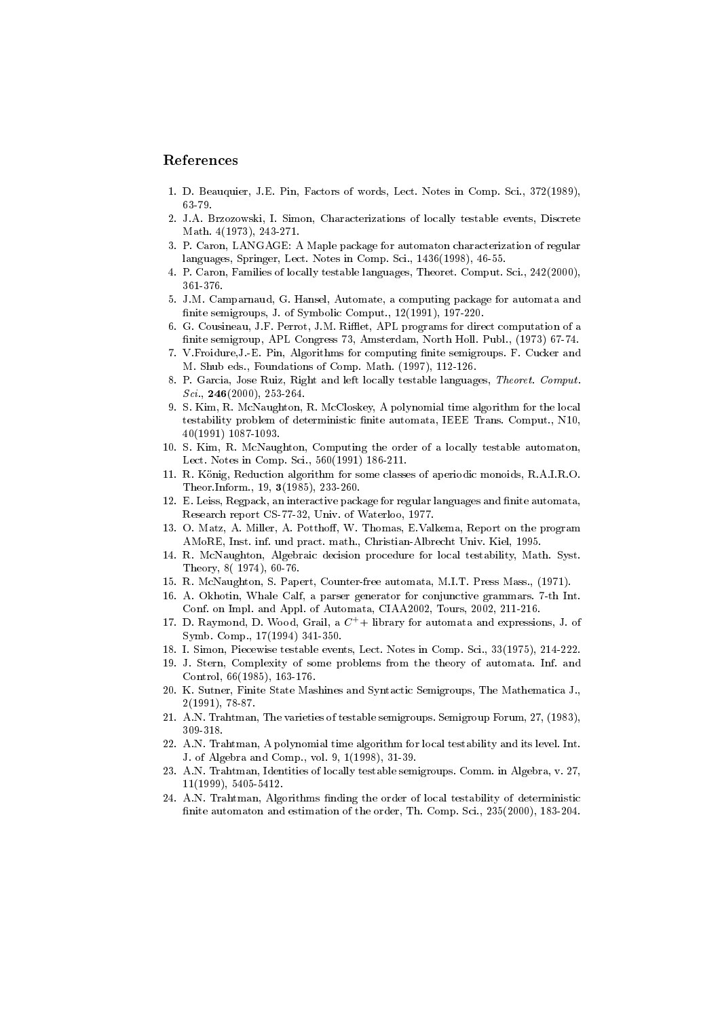### References

- 1. D. Beauquier, J.E. Pin, Factors of words, Lect. Notes in Comp. Sci., 372(1989), 63-79.
- 2. J.A. Brzozowski, I. Simon, Characterizations of locally testable events, Discrete Math. 4(1973), 243-271.
- 3. P. Caron, LANGAGE: A Maple package for automaton characterization of regular languages, Springer, Lect. Notes in Comp. Sci., 1436(1998), 46-55.
- 4. P. Caron, Families of locally testable languages, Theoret. Comput. Sci., 242(2000), 361-376.
- 5. J.M. Camparnaud, G. Hansel, Automate, a computing package for automata and nite semigroups, J. of Symbolic Comput., 12(1991), 197-220.
- 6. G. Cousineau, J.F. Perrot, J.M. Rifflet, APL programs for direct computation of a nite semigroup, APL Congress 73, Amsterdam, North Holl. Publ., (1973) 67-74.
- 7. V.Froidure, J.-E. Pin, Algorithms for computing finite semigroups. F. Cucker and M. Shub eds., Foundations of Comp. Math. (1997), 112-126.
- 8. P. Garcia, Jose Ruiz, Right and left locally testable languages, Theoret. Comput.  $Sci.$ , 246(2000), 253-264.
- 9. S. Kim, R. McNaughton, R. McCloskey, A polynomial time algorithm for the local testability problem of deterministic finite automata, IEEE Trans. Comput., N10, 40(1991) 1087-1093.
- 10. S. Kim, R. McNaughton, Computing the order of a locally testable automaton, Lect. Notes in Comp. Sci., 560(1991) 186-211.
- 11. R. Konig, Reduction algorithm for some classes of aperiodic monoids, R.A.I.R.O. Theor.Inform., 19, 3(1985), 233-260.
- 12. E. Leiss, Regpack, an interactive package for regular languages and finite automata, Research report CS-77-32, Univ. of Waterloo, 1977.
- 13. O. Matz, A. Miller, A. Potthoff, W. Thomas, E. Valkema, Report on the program AMoRE, Inst. inf. und pract. math., Christian-Albrecht Univ. Kiel, 1995.
- 14. R. McNaughton, Algebraic decision procedure for local testability, Math. Syst. Theory, 8( 1974), 60-76.
- 15. R. McNaughton, S. Papert, Counter-free automata, M.I.T. Press Mass., (1971).
- 16. A. Okhotin, Whale Calf, a parser generator for conjunctive grammars. 7-th Int. Conf. on Impl. and Appl. of Automata, CIAA2002, Tours, 2002, 211-216.
- 17. D. Raymond, D. Wood, Grail, a  $C^+$  + library for automata and expressions, J. of Symb. Comp., 17(1994) 341-350.
- 18. I. Simon, Piecewise testable events, Lect. Notes in Comp. Sci., 33(1975), 214-222.
- 19. J. Stern, Complexity of some problems from the theory of automata. Inf. and Control, 66(1985), 163-176.
- 20. K. Sutner, Finite State Mashines and Syntactic Semigroups, The Mathematica J., 2(1991), 78-87.
- 21. A.N. Trahtman, The varieties of testable semigroups. Semigroup Forum, 27, (1983), 309-318.
- 22. A.N. Trahtman, A polynomial time algorithm for local testability and its level. Int. J. of Algebra and Comp., vol. 9, 1(1998), 31-39.
- 23. A.N. Trahtman, Identities of locally testable semigroups. Comm. in Algebra, v. 27, 11(1999), 5405-5412.
- 24. A.N. Trahtman, Algorithms finding the order of local testability of deterministic nite automaton and estimation of the order, Th. Comp. Sci., 235(2000), 183-204.